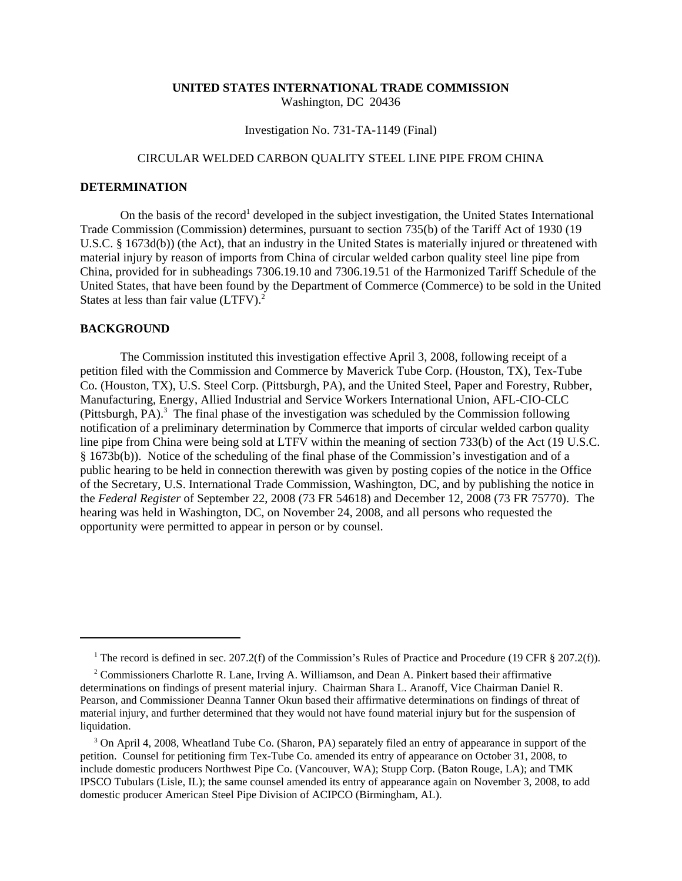## **UNITED STATES INTERNATIONAL TRADE COMMISSION** Washington, DC 20436

## Investigation No. 731-TA-1149 (Final)

# CIRCULAR WELDED CARBON QUALITY STEEL LINE PIPE FROM CHINA

# **DETERMINATION**

On the basis of the record<sup>1</sup> developed in the subject investigation, the United States International Trade Commission (Commission) determines, pursuant to section 735(b) of the Tariff Act of 1930 (19 U.S.C. § 1673d(b)) (the Act), that an industry in the United States is materially injured or threatened with material injury by reason of imports from China of circular welded carbon quality steel line pipe from China, provided for in subheadings 7306.19.10 and 7306.19.51 of the Harmonized Tariff Schedule of the United States, that have been found by the Department of Commerce (Commerce) to be sold in the United States at less than fair value (LTFV).<sup>2</sup>

#### **BACKGROUND**

The Commission instituted this investigation effective April 3, 2008, following receipt of a petition filed with the Commission and Commerce by Maverick Tube Corp. (Houston, TX), Tex-Tube Co. (Houston, TX), U.S. Steel Corp. (Pittsburgh, PA), and the United Steel, Paper and Forestry, Rubber, Manufacturing, Energy, Allied Industrial and Service Workers International Union, AFL-CIO-CLC (Pittsburgh, PA).<sup>3</sup> The final phase of the investigation was scheduled by the Commission following notification of a preliminary determination by Commerce that imports of circular welded carbon quality line pipe from China were being sold at LTFV within the meaning of section 733(b) of the Act (19 U.S.C. § 1673b(b)). Notice of the scheduling of the final phase of the Commission's investigation and of a public hearing to be held in connection therewith was given by posting copies of the notice in the Office of the Secretary, U.S. International Trade Commission, Washington, DC, and by publishing the notice in the *Federal Register* of September 22, 2008 (73 FR 54618) and December 12, 2008 (73 FR 75770). The hearing was held in Washington, DC, on November 24, 2008, and all persons who requested the opportunity were permitted to appear in person or by counsel.

<sup>&</sup>lt;sup>1</sup> The record is defined in sec. 207.2(f) of the Commission's Rules of Practice and Procedure (19 CFR § 207.2(f)).

<sup>&</sup>lt;sup>2</sup> Commissioners Charlotte R. Lane, Irving A. Williamson, and Dean A. Pinkert based their affirmative determinations on findings of present material injury. Chairman Shara L. Aranoff, Vice Chairman Daniel R. Pearson, and Commissioner Deanna Tanner Okun based their affirmative determinations on findings of threat of material injury, and further determined that they would not have found material injury but for the suspension of liquidation.

<sup>&</sup>lt;sup>3</sup> On April 4, 2008, Wheatland Tube Co. (Sharon, PA) separately filed an entry of appearance in support of the petition. Counsel for petitioning firm Tex-Tube Co. amended its entry of appearance on October 31, 2008, to include domestic producers Northwest Pipe Co. (Vancouver, WA); Stupp Corp. (Baton Rouge, LA); and TMK IPSCO Tubulars (Lisle, IL); the same counsel amended its entry of appearance again on November 3, 2008, to add domestic producer American Steel Pipe Division of ACIPCO (Birmingham, AL).